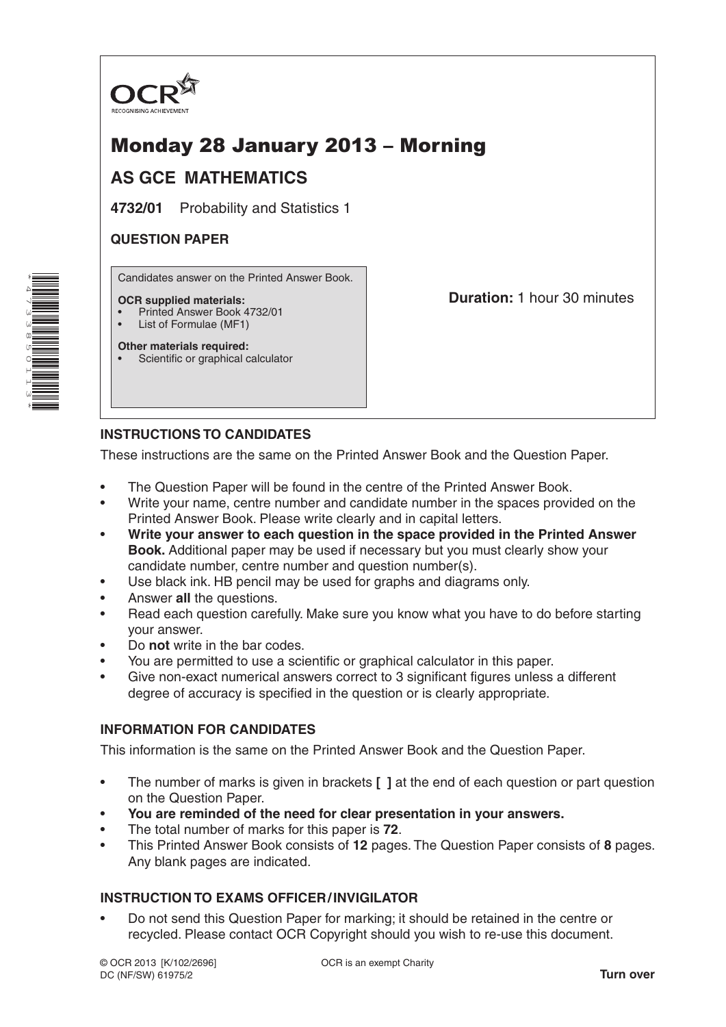

# Monday 28 January 2013 – Morning

### **AS GCE MATHEMATICS**

**4732/01** Probability and Statistics 1

#### **QUESTION PAPER**

Candidates answer on the Printed Answer Book.

#### **OCR supplied materials:**

- Printed Answer Book 4732/01
- List of Formulae (MF1)

**Duration:** 1 hour 30 minutes

## **Other materials required:**

Scientific or graphical calculator

### **INSTRUCTIONS TO CANDIDATES**

These instructions are the same on the Printed Answer Book and the Question Paper.

- The Question Paper will be found in the centre of the Printed Answer Book.
- Write your name, centre number and candidate number in the spaces provided on the Printed Answer Book. Please write clearly and in capital letters.
- **Write your answer to each question in the space provided in the Printed Answer Book.** Additional paper may be used if necessary but you must clearly show your candidate number, centre number and question number(s).
- Use black ink. HB pencil may be used for graphs and diagrams only.
- Answer **all** the questions.
- Read each question carefully. Make sure you know what you have to do before starting your answer.
- Do **not** write in the bar codes.
- You are permitted to use a scientific or graphical calculator in this paper.
- Give non-exact numerical answers correct to 3 significant figures unless a different degree of accuracy is specified in the question or is clearly appropriate.

#### **INFORMATION FOR CANDIDATES**

This information is the same on the Printed Answer Book and the Question Paper.

- The number of marks is given in brackets **[ ]** at the end of each question or part question on the Question Paper.
- **You are reminded of the need for clear presentation in your answers.**
- The total number of marks for this paper is **72**.
- This Printed Answer Book consists of **12** pages. The Question Paper consists of **8** pages. Any blank pages are indicated.

### **INSTRUCTION TO EXAMS OFFICER/INVIGILATOR**

• Do not send this Question Paper for marking; it should be retained in the centre or recycled. Please contact OCR Copyright should you wish to re-use this document.

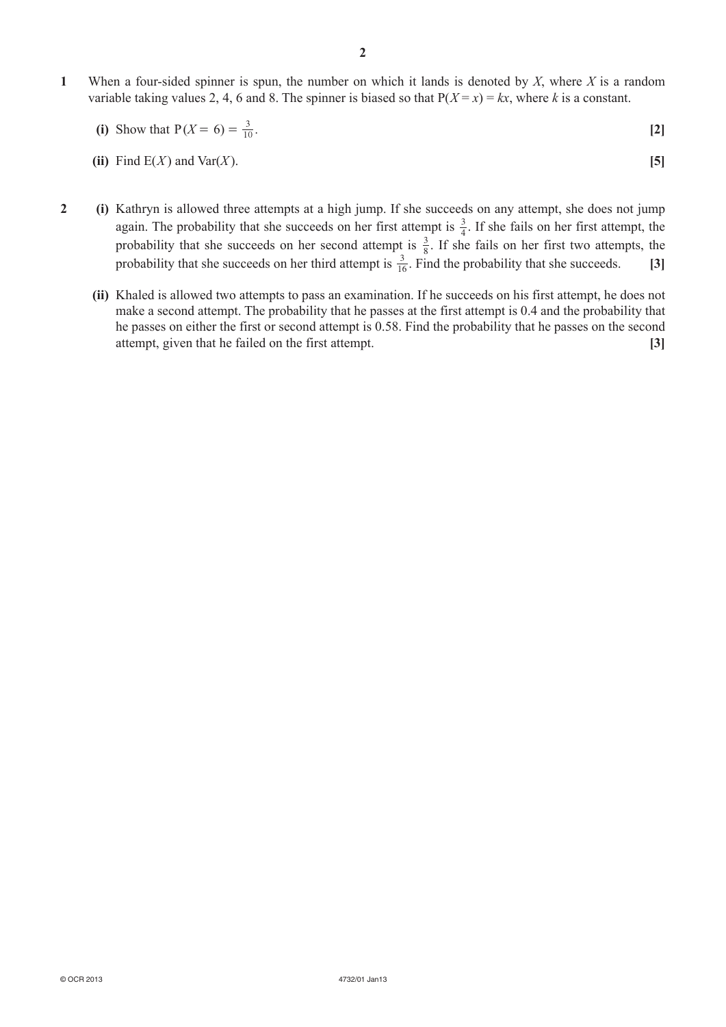- **1**  When a four-sided spinner is spun, the number on which it lands is denoted by *X*, where *X* is a random variable taking values 2, 4, 6 and 8. The spinner is biased so that  $P(X = x) = kx$ , where *k* is a constant.
- **(i)** Show that  $P(X = 6) = \frac{3}{10}$ . [2]

(ii) Find 
$$
E(X)
$$
 and  $Var(X)$ . [5]

- **2** (i) Kathryn is allowed three attempts at a high jump. If she succeeds on any attempt, she does not jump again. The probability that she succeeds on her first attempt is  $\frac{3}{4}$ . If she fails on her first attempt, the probability that she succeeds on her second attempt is  $\frac{3}{8}$ . If she fails on her first two attempts, the probability that she succeeds on her third attempt is  $\frac{3}{16}$ . Find the probability that she succeeds. **[3]** 
	- **(ii)** Khaled is allowed two attempts to pass an examination. If he succeeds on his first attempt, he does not make a second attempt. The probability that he passes at the first attempt is 0.4 and the probability that he passes on either the first or second attempt is 0.58. Find the probability that he passes on the second attempt, given that he failed on the first attempt. **[3]**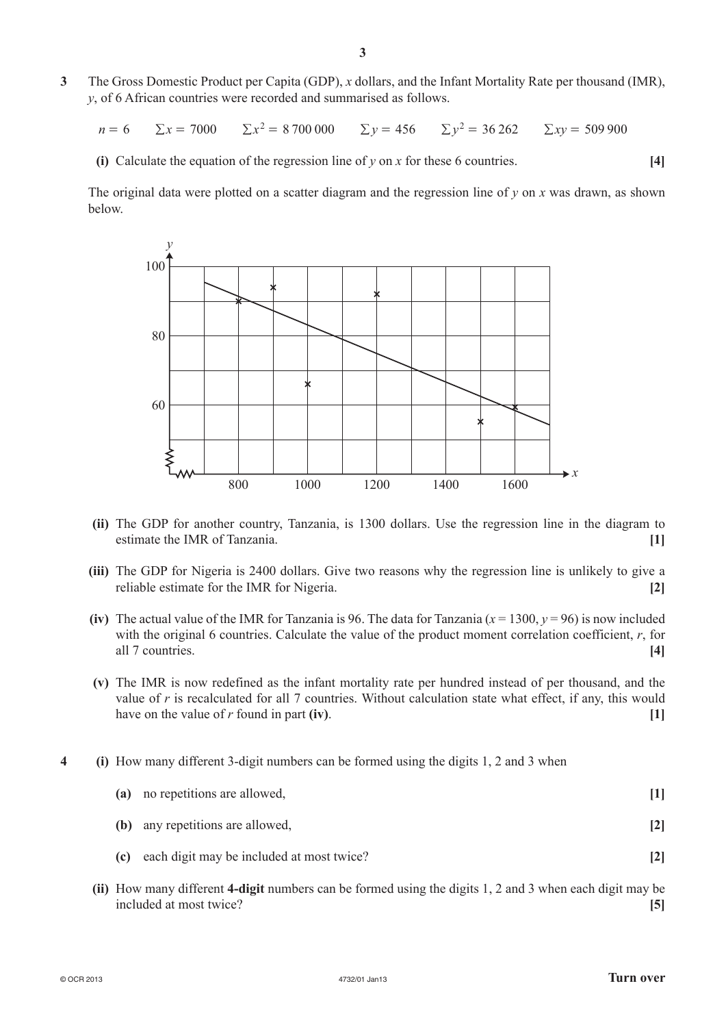**3**  The Gross Domestic Product per Capita (GDP), *x* dollars, and the Infant Mortality Rate per thousand (IMR), *y*, of 6 African countries were recorded and summarised as follows.

 $n = 6$   $\Sigma x = 7000$   $\Sigma x^2 = 8700000$   $\Sigma y = 456$   $\Sigma y^2 = 36262$   $\Sigma xy = 509900$ 

**(i)** Calculate the equation of the regression line of *y* on *x* for these 6 countries.  $[4]$ 

The original data were plotted on a scatter diagram and the regression line of *y* on *x* was drawn, as shown below.



- **(ii)** The GDP for another country, Tanzania, is 1300 dollars. Use the regression line in the diagram to estimate the IMR of Tanzania. **[1]** [1]
- **(iii)** The GDP for Nigeria is 2400 dollars. Give two reasons why the regression line is unlikely to give a reliable estimate for the IMR for Nigeria. **[2]**
- **(iv)** The actual value of the IMR for Tanzania is 96. The data for Tanzania  $(x = 1300, y = 96)$  is now included with the original 6 countries. Calculate the value of the product moment correlation coefficient, *r*, for all 7 countries. **[4]**
- **(v)** The IMR is now redefined as the infant mortality rate per hundred instead of per thousand, and the value of *r* is recalculated for all 7 countries. Without calculation state what effect, if any, this would have on the value of *r* found in part **(iv)**.  $[1]$
- **4** (i) How many different 3-digit numbers can be formed using the digits 1, 2 and 3 when

| (a) no repetitions are allowed,               |  |
|-----------------------------------------------|--|
| (b) any repetitions are allowed,              |  |
| (c) each digit may be included at most twice? |  |

**(ii)** How many different **4-digit** numbers can be formed using the digits 1, 2 and 3 when each digit may be included at most twice? **[5]**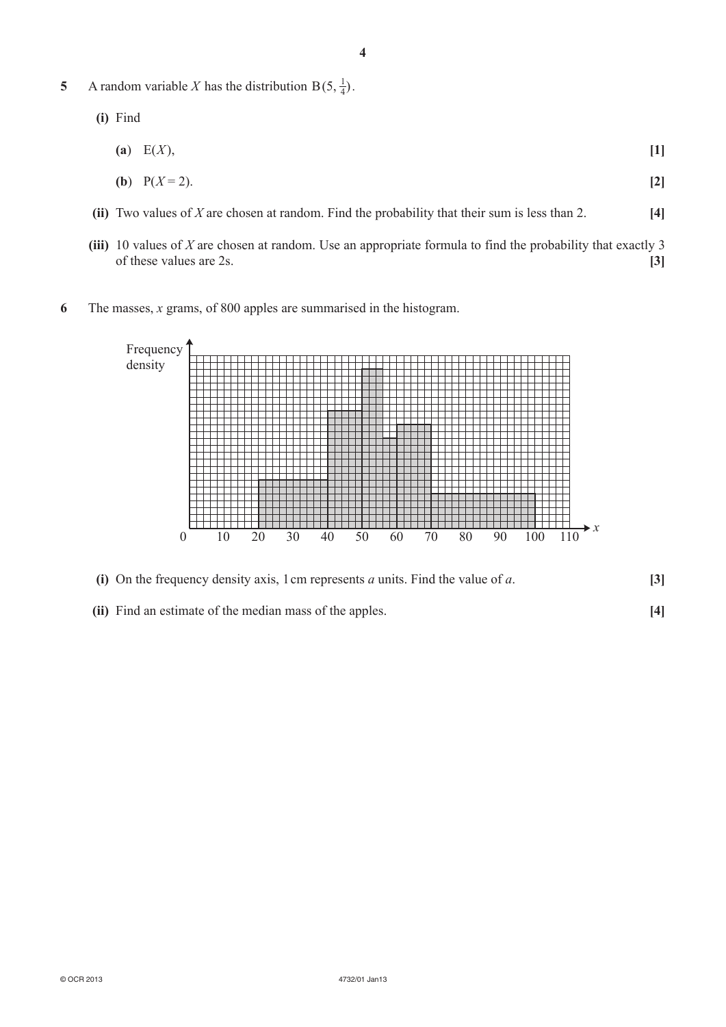- **5** A random variable *X* has the distribution B(5,  $\frac{1}{4}$ ).
	- **(i)**  Find
		- **(a)**  $E(X)$ , [1]
		- **(b)**  $P(X=2)$ . [2]
	- **(ii)** Two values of *X* are chosen at random. Find the probability that their sum is less than 2.  $[4]$
	- **(iii)** 10 values of *X* are chosen at random. Use an appropriate formula to find the probability that exactly 3 of these values are 2s. **[3]**
- **6**  The masses, *x* grams, of 800 apples are summarised in the histogram.



- **(i)** On the frequency density axis, 1 cm represents *a* units. Find the value of *a*. **[3]**
- **(ii)** Find an estimate of the median mass of the apples. **[4]**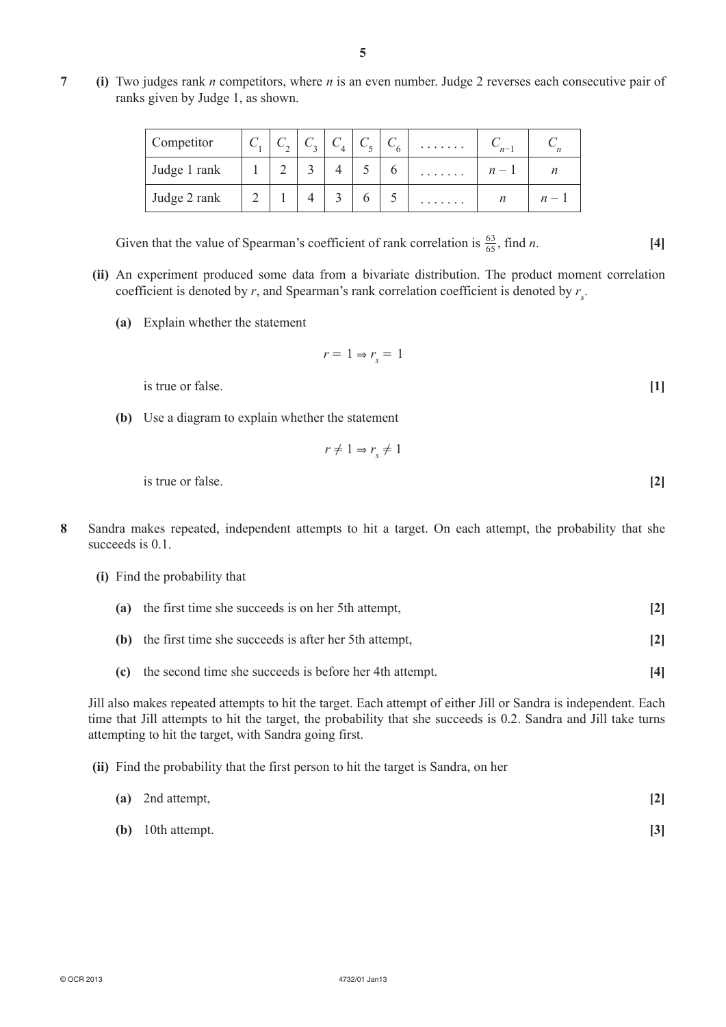**7** (i) Two judges rank *n* competitors, where *n* is an even number. Judge 2 reverses each consecutive pair of ranks given by Judge 1, as shown.

| Competitor   | $C_{2}$ | $\sim$ | $\mid C_{\zeta}$ | . | $n-1$ |  |
|--------------|---------|--------|------------------|---|-------|--|
| Judge 1 rank |         |        |                  |   |       |  |
| Judge 2 rank |         |        |                  | . |       |  |

Given that the value of Spearman's coefficient of rank correlation is  $\frac{63}{65}$ , find *n*. [4]

- **(ii)** An experiment produced some data from a bivariate distribution. The product moment correlation coefficient is denoted by *r*, and Spearman's rank correlation coefficient is denoted by *r s* .
	- **(a)** Explain whether the statement

$$
r = 1 \Rightarrow r_s = 1
$$

 $\frac{1}{2}$  is true or false.  $\boxed{1}$ 

**(b)** Use a diagram to explain whether the statement

$$
r \neq 1 \Rightarrow r_s \neq 1
$$

 $\frac{1}{2}$  is true or false.

- **8**  Sandra makes repeated, independent attempts to hit a target. On each attempt, the probability that she succeeds is  $0.1$ .
	- **(i)**  Find the probability that

| (a) the first time she succeeds is on her 5th attempt, |  |
|--------------------------------------------------------|--|
|--------------------------------------------------------|--|

- **(b)** the first time she succeeds is after her 5th attempt, **[2]**
- **(c)** the second time she succeeds is before her 4th attempt. **[4]**

Jill also makes repeated attempts to hit the target. Each attempt of either Jill or Sandra is independent. Each time that Jill attempts to hit the target, the probability that she succeeds is 0.2. Sandra and Jill take turns attempting to hit the target, with Sandra going first.

**(ii)** Find the probability that the first person to hit the target is Sandra, on her

| (a) 2nd attempt,    | $\mathbf{[2]}$   |
|---------------------|------------------|
| $(b)$ 10th attempt. | $\left 3\right $ |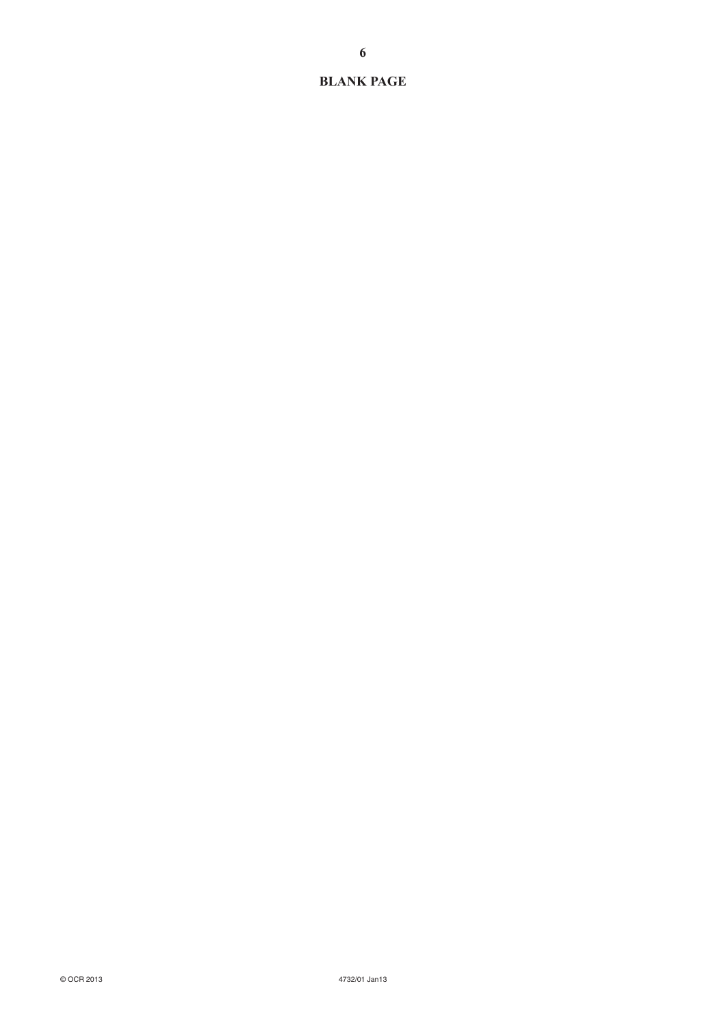#### **BLANK PAGE**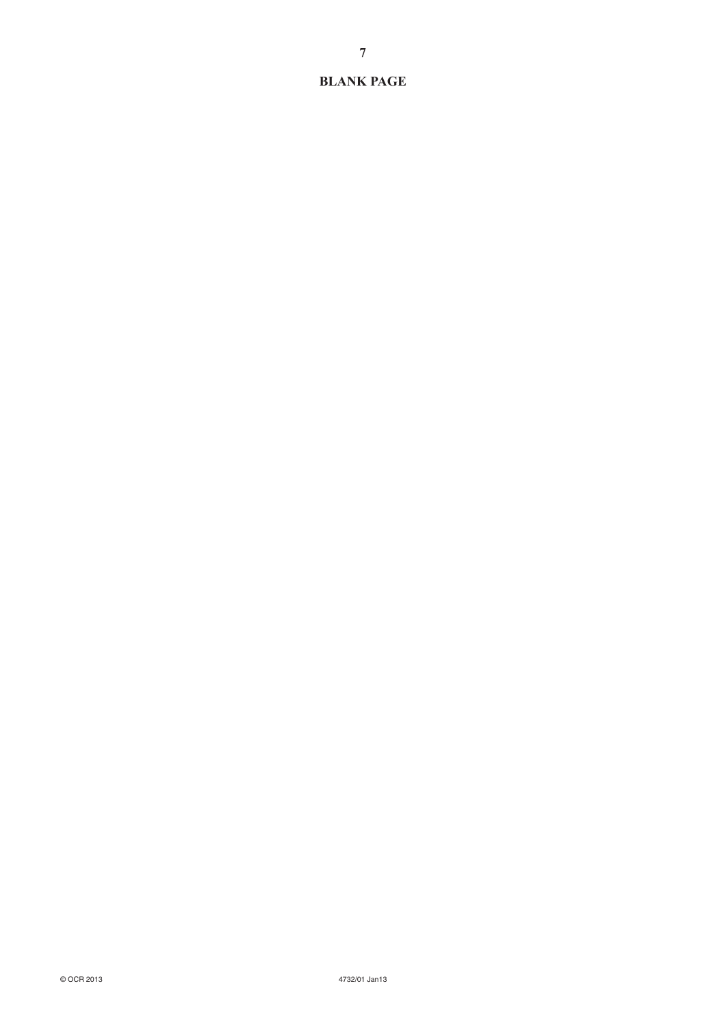#### **BLANK PAGE**